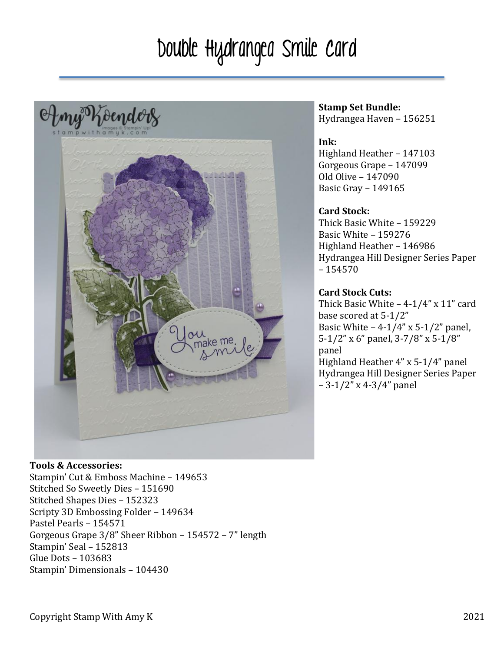# Double Hydrangea Smile Card



#### **Stamp Set Bundle:** Hydrangea Haven – 156251

# **Ink:**

Highland Heather - 147103 Gorgeous Grape - 147099 Old Olive – 147090 Basic Gray - 149165

#### **Card Stock:**

Thick Basic White – 159229 Basic White – 159276 Highland Heather - 146986 Hydrangea Hill Designer Series Paper – 154570

### **Card Stock Cuts:**

Thick Basic White  $-4-1/4$ " x 11" card base scored at 5-1/2" Basic White  $-4-1/4$ " x 5-1/2" panel, 5-1/2" x 6" panel, 3-7/8" x 5-1/8" panel Highland Heather  $4''$  x 5-1/4" panel Hydrangea Hill Designer Series Paper  $-3-1/2$ " x 4-3/4" panel

#### **Tools & Accessories:**

Stampin' Cut & Emboss Machine - 149653 Stitched So Sweetly Dies - 151690 Stitched Shapes Dies - 152323 Scripty 3D Embossing Folder - 149634 Pastel Pearls - 154571 Gorgeous Grape  $3/8$ " Sheer Ribbon - 154572 - 7" length Stampin' Seal - 152813 Glue Dots - 103683 Stampin' Dimensionals - 104430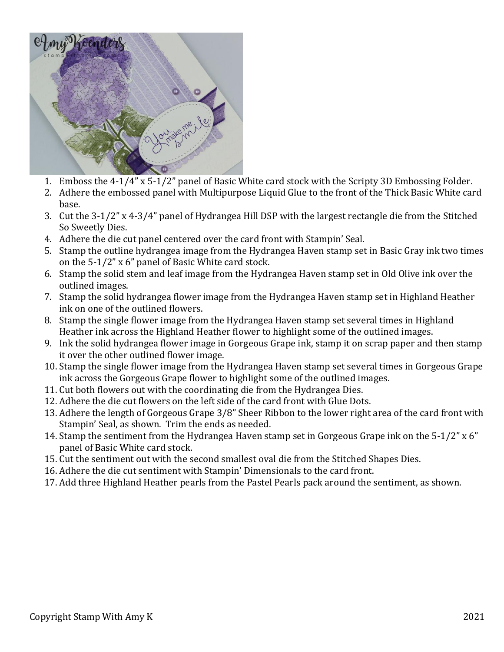

- 1. Emboss the 4-1/4" x 5-1/2" panel of Basic White card stock with the Scripty 3D Embossing Folder.
- 2. Adhere the embossed panel with Multipurpose Liquid Glue to the front of the Thick Basic White card base.
- 3. Cut the 3-1/2" x 4-3/4" panel of Hydrangea Hill DSP with the largest rectangle die from the Stitched So Sweetly Dies.
- 4. Adhere the die cut panel centered over the card front with Stampin' Seal.
- 5. Stamp the outline hydrangea image from the Hydrangea Haven stamp set in Basic Gray ink two times on the  $5-1/2$ " x 6" panel of Basic White card stock.
- 6. Stamp the solid stem and leaf image from the Hydrangea Haven stamp set in Old Olive ink over the outlined images.
- 7. Stamp the solid hydrangea flower image from the Hydrangea Haven stamp set in Highland Heather ink on one of the outlined flowers.
- 8. Stamp the single flower image from the Hydrangea Haven stamp set several times in Highland Heather ink across the Highland Heather flower to highlight some of the outlined images.
- 9. Ink the solid hydrangea flower image in Gorgeous Grape ink, stamp it on scrap paper and then stamp it over the other outlined flower image.
- 10. Stamp the single flower image from the Hydrangea Haven stamp set several times in Gorgeous Grape ink across the Gorgeous Grape flower to highlight some of the outlined images.
- 11. Cut both flowers out with the coordinating die from the Hydrangea Dies.
- 12. Adhere the die cut flowers on the left side of the card front with Glue Dots.
- 13. Adhere the length of Gorgeous Grape 3/8" Sheer Ribbon to the lower right area of the card front with Stampin' Seal, as shown. Trim the ends as needed.
- 14. Stamp the sentiment from the Hydrangea Haven stamp set in Gorgeous Grape ink on the 5-1/2"  $x$  6" panel of Basic White card stock.
- 15. Cut the sentiment out with the second smallest oval die from the Stitched Shapes Dies.
- 16. Adhere the die cut sentiment with Stampin' Dimensionals to the card front.
- 17. Add three Highland Heather pearls from the Pastel Pearls pack around the sentiment, as shown.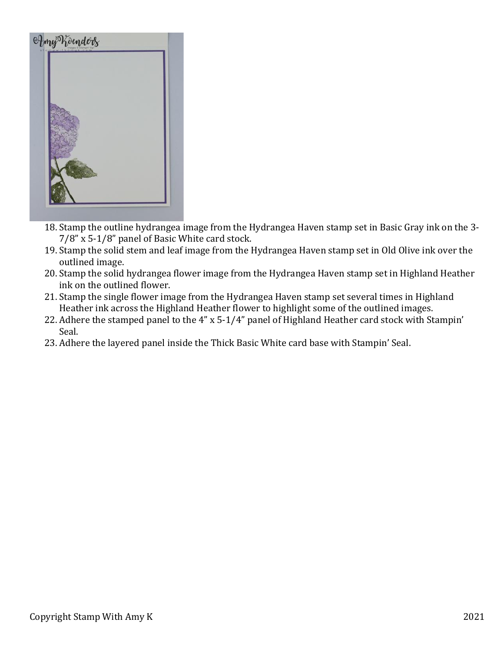

- 18. Stamp the outline hydrangea image from the Hydrangea Haven stamp set in Basic Gray ink on the 3- $7/8$ " x  $5-1/8$ " panel of Basic White card stock.
- 19. Stamp the solid stem and leaf image from the Hydrangea Haven stamp set in Old Olive ink over the outlined image.
- 20. Stamp the solid hydrangea flower image from the Hydrangea Haven stamp set in Highland Heather ink on the outlined flower.
- 21. Stamp the single flower image from the Hydrangea Haven stamp set several times in Highland Heather ink across the Highland Heather flower to highlight some of the outlined images.
- 22. Adhere the stamped panel to the 4" x 5-1/4" panel of Highland Heather card stock with Stampin' Seal.
- 23. Adhere the layered panel inside the Thick Basic White card base with Stampin' Seal.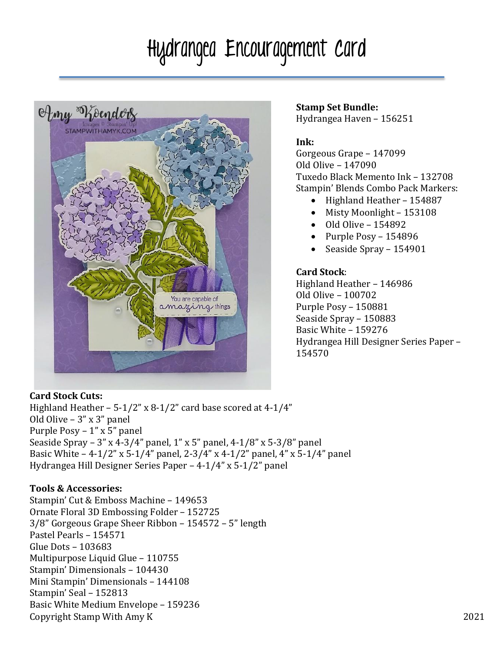# Hydrangea Encouragement Card



#### **Stamp Set Bundle:** Hydrangea Haven - 156251

# **Ink:**

Gorgeous Grape - 147099 Old Olive – 147090 Tuxedo Black Memento Ink – 132708 Stampin' Blends Combo Pack Markers:

- Highland Heather 154887
- Misty Moonlight 153108
- $\bullet$  Old Olive 154892
- Purple  $Poss 154896$
- Seaside Spray 154901

## **Card Stock**:

Highland Heather - 146986 Old Olive – 100702 Purple Posy - 150881 Seaside Spray - 150883 Basic White - 159276 Hydrangea Hill Designer Series Paper -154570

### **Card Stock Cuts:**

Highland Heather  $- 5-1/2$ " x 8-1/2" card base scored at 4-1/4" Old Olive  $-3$ " x  $3$ " panel Purple  $Poss - 1"$  x 5" panel Seaside Spray – 3" x 4-3/4" panel, 1" x 5" panel, 4-1/8" x 5-3/8" panel Basic White  $-4-1/2$ " x 5-1/4" panel, 2-3/4" x 4-1/2" panel, 4" x 5-1/4" panel Hydrangea Hill Designer Series Paper  $-4-1/4$ " x 5-1/2" panel

# **Tools & Accessories:**

Copyright Stamp With Amy K 2021 Stampin' Cut & Emboss Machine - 149653 Ornate Floral 3D Embossing Folder – 152725 3/8" Gorgeous Grape Sheer Ribbon – 154572 – 5" length Pastel Pearls – 154571 Glue Dots – 103683 Multipurpose Liquid Glue – 110755 Stampin' Dimensionals – 104430 Mini Stampin' Dimensionals – 144108 Stampin' Seal – 152813 Basic White Medium Envelope – 159236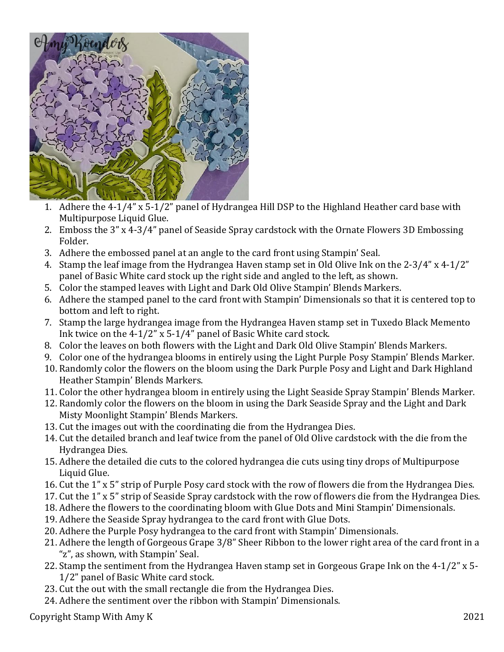

- 1. Adhere the  $4-1/4$ " x  $5-1/2$ " panel of Hydrangea Hill DSP to the Highland Heather card base with Multipurpose Liquid Glue.
- 2. Emboss the 3" x 4-3/4" panel of Seaside Spray cardstock with the Ornate Flowers 3D Embossing Folder.
- 3. Adhere the embossed panel at an angle to the card front using Stampin' Seal.
- 4. Stamp the leaf image from the Hydrangea Haven stamp set in Old Olive Ink on the 2-3/4" x 4-1/2" panel of Basic White card stock up the right side and angled to the left, as shown.
- 5. Color the stamped leaves with Light and Dark Old Olive Stampin' Blends Markers.
- 6. Adhere the stamped panel to the card front with Stampin' Dimensionals so that it is centered top to bottom and left to right.
- 7. Stamp the large hydrangea image from the Hydrangea Haven stamp set in Tuxedo Black Memento Ink twice on the  $4-1/2$ " x 5-1/4" panel of Basic White card stock.
- 8. Color the leaves on both flowers with the Light and Dark Old Olive Stampin' Blends Markers.
- 9. Color one of the hydrangea blooms in entirely using the Light Purple Posy Stampin' Blends Marker.
- 10. Randomly color the flowers on the bloom using the Dark Purple Posy and Light and Dark Highland Heather Stampin' Blends Markers.
- 11. Color the other hydrangea bloom in entirely using the Light Seaside Spray Stampin' Blends Marker.
- 12. Randomly color the flowers on the bloom in using the Dark Seaside Spray and the Light and Dark Misty Moonlight Stampin' Blends Markers.
- 13. Cut the images out with the coordinating die from the Hydrangea Dies.
- 14. Cut the detailed branch and leaf twice from the panel of Old Olive cardstock with the die from the Hydrangea Dies.
- 15. Adhere the detailed die cuts to the colored hydrangea die cuts using tiny drops of Multipurpose Liquid Glue.
- 16. Cut the 1" x 5" strip of Purple Posy card stock with the row of flowers die from the Hydrangea Dies.
- 17. Cut the 1" x 5" strip of Seaside Spray cardstock with the row of flowers die from the Hydrangea Dies.
- 18. Adhere the flowers to the coordinating bloom with Glue Dots and Mini Stampin' Dimensionals.
- 19. Adhere the Seaside Spray hydrangea to the card front with Glue Dots.
- 20. Adhere the Purple Posy hydrangea to the card front with Stampin' Dimensionals.
- 21. Adhere the length of Gorgeous Grape 3/8" Sheer Ribbon to the lower right area of the card front in a "z", as shown, with Stampin' Seal.
- 22. Stamp the sentiment from the Hydrangea Haven stamp set in Gorgeous Grape Ink on the  $4-1/2$ " x 5-1/2" panel of Basic White card stock.
- 23. Cut the out with the small rectangle die from the Hydrangea Dies.
- 24. Adhere the sentiment over the ribbon with Stampin' Dimensionals.

Copyright Stamp With Amy K 2021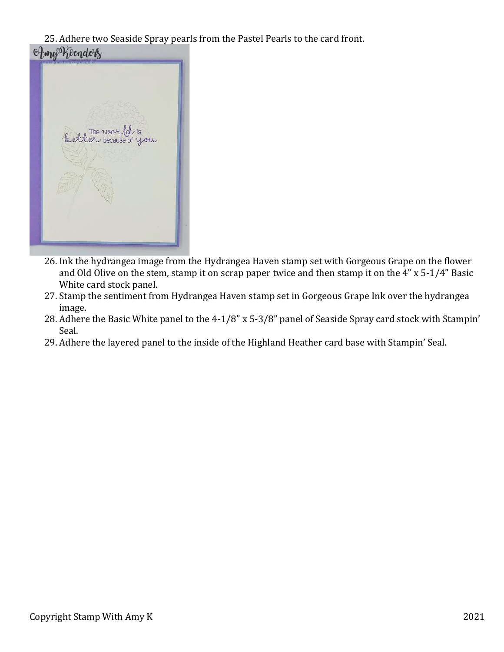25. Adhere two Seaside Spray pearls from the Pastel Pearls to the card front. Amy Koendors



- 26. Ink the hydrangea image from the Hydrangea Haven stamp set with Gorgeous Grape on the flower and Old Olive on the stem, stamp it on scrap paper twice and then stamp it on the  $4$ " x 5-1/4" Basic White card stock panel.
- 27. Stamp the sentiment from Hydrangea Haven stamp set in Gorgeous Grape Ink over the hydrangea image.
- 28. Adhere the Basic White panel to the  $4-1/8$ " x 5-3/8" panel of Seaside Spray card stock with Stampin' Seal.
- 29. Adhere the layered panel to the inside of the Highland Heather card base with Stampin' Seal.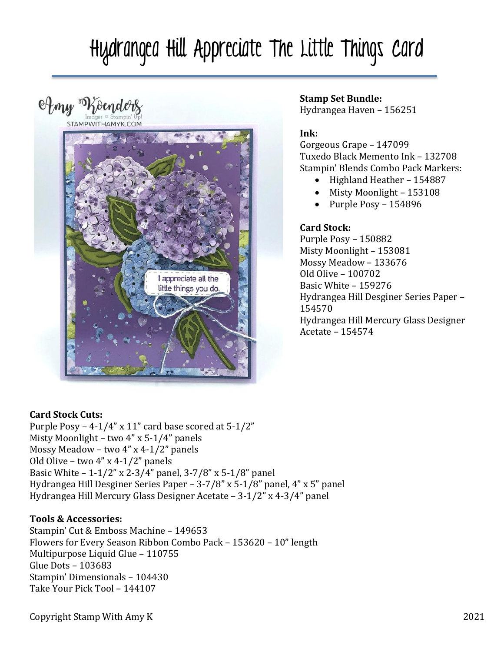# Hydrangea Hill Appreciate The Little Things Card

Amy Roenders



## **Stamp Set Bundle:**

Hydrangea Haven - 156251

# **Ink:**

Gorgeous Grape - 147099 Tuxedo Black Memento Ink – 132708 Stampin' Blends Combo Pack Markers:

- Highland Heather 154887
- Misty Moonlight 153108
- Purple  $Poss 154896$

# **Card Stock:**

Purple Posy - 150882 Misty Moonlight - 153081 Mossy Meadow – 133676 Old Olive – 100702 Basic White – 159276 Hydrangea Hill Desginer Series Paper -154570 Hydrangea Hill Mercury Glass Designer Acetate – 154574

# **Card Stock Cuts:**

Purple Posy – 4-1/4" x 11" card base scored at  $5-1/2$ " Misty Moonlight – two  $4$ " x 5-1/4" panels Mossy Meadow – two  $4$ " x  $4-1/2$ " panels Old Olive – two  $4$ " x  $4-1/2$ " panels Basic White  $-1-1/2$ " x 2-3/4" panel, 3-7/8" x 5-1/8" panel Hydrangea Hill Desginer Series Paper –  $3-7/8$ " x 5-1/8" panel, 4" x 5" panel Hydrangea Hill Mercury Glass Designer Acetate  $- 3-1/2$ " x 4-3/4" panel

### **Tools & Accessories:**

Stampin' Cut & Emboss Machine - 149653 Flowers for Every Season Ribbon Combo Pack – 153620 – 10" length Multipurpose Liquid Glue – 110755 Glue Dots - 103683 Stampin' Dimensionals – 104430 Take Your Pick Tool - 144107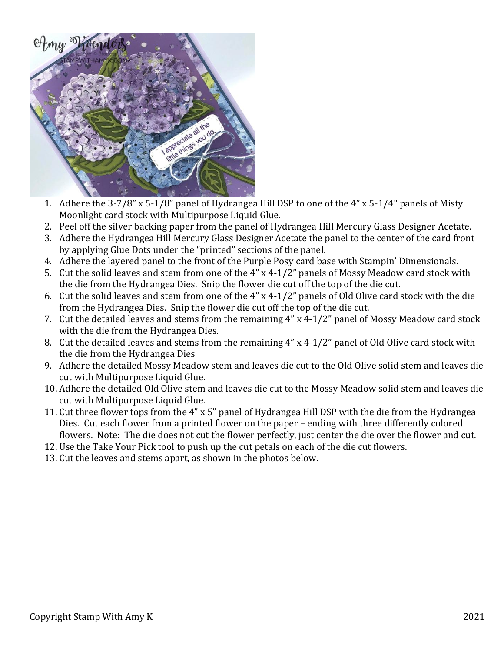

- 1. Adhere the  $3-7/8$ " x  $5-1/8$ " panel of Hydrangea Hill DSP to one of the  $4$ " x  $5-1/4$ " panels of Misty Moonlight card stock with Multipurpose Liquid Glue.
- 2. Peel off the silver backing paper from the panel of Hydrangea Hill Mercury Glass Designer Acetate.
- 3. Adhere the Hydrangea Hill Mercury Glass Designer Acetate the panel to the center of the card front by applying Glue Dots under the "printed" sections of the panel.
- 4. Adhere the layered panel to the front of the Purple Posy card base with Stampin' Dimensionals.
- 5. Cut the solid leaves and stem from one of the  $4''$  x  $4-1/2''$  panels of Mossy Meadow card stock with the die from the Hydrangea Dies. Snip the flower die cut off the top of the die cut.
- 6. Cut the solid leaves and stem from one of the  $4''$  x 4-1/2" panels of Old Olive card stock with the die from the Hydrangea Dies. Snip the flower die cut off the top of the die cut.
- 7. Cut the detailed leaves and stems from the remaining  $4''$  x  $4-1/2''$  panel of Mossy Meadow card stock with the die from the Hydrangea Dies.
- 8. Cut the detailed leaves and stems from the remaining  $4''$  x  $4-1/2''$  panel of Old Olive card stock with the die from the Hydrangea Dies
- 9. Adhere the detailed Mossy Meadow stem and leaves die cut to the Old Olive solid stem and leaves die cut with Multipurpose Liquid Glue.
- 10. Adhere the detailed Old Olive stem and leaves die cut to the Mossy Meadow solid stem and leaves die cut with Multipurpose Liquid Glue.
- 11. Cut three flower tops from the 4" x 5" panel of Hydrangea Hill DSP with the die from the Hydrangea Dies. Cut each flower from a printed flower on the paper – ending with three differently colored flowers. Note: The die does not cut the flower perfectly, just center the die over the flower and cut.
- 12. Use the Take Your Pick tool to push up the cut petals on each of the die cut flowers.
- 13. Cut the leaves and stems apart, as shown in the photos below.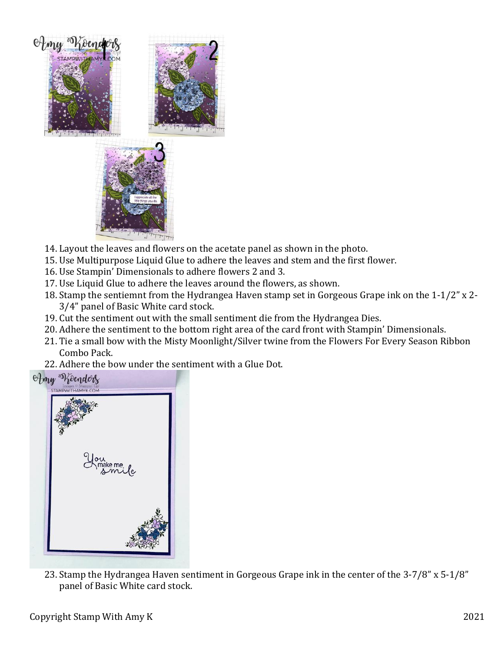

- 14. Layout the leaves and flowers on the acetate panel as shown in the photo.
- 15. Use Multipurpose Liquid Glue to adhere the leaves and stem and the first flower.
- 16. Use Stampin' Dimensionals to adhere flowers 2 and 3.
- 17. Use Liquid Glue to adhere the leaves around the flowers, as shown.
- 18. Stamp the sentiemnt from the Hydrangea Haven stamp set in Gorgeous Grape ink on the  $1-1/2$ " x 2-3/4" panel of Basic White card stock.
- 19. Cut the sentiment out with the small sentiment die from the Hydrangea Dies.
- 20. Adhere the sentiment to the bottom right area of the card front with Stampin' Dimensionals.
- 21. Tie a small bow with the Misty Moonlight/Silver twine from the Flowers For Every Season Ribbon Combo Pack.
- 22. Adhere the bow under the sentiment with a Glue Dot.



23. Stamp the Hydrangea Haven sentiment in Gorgeous Grape ink in the center of the 3-7/8" x 5-1/8" panel of Basic White card stock.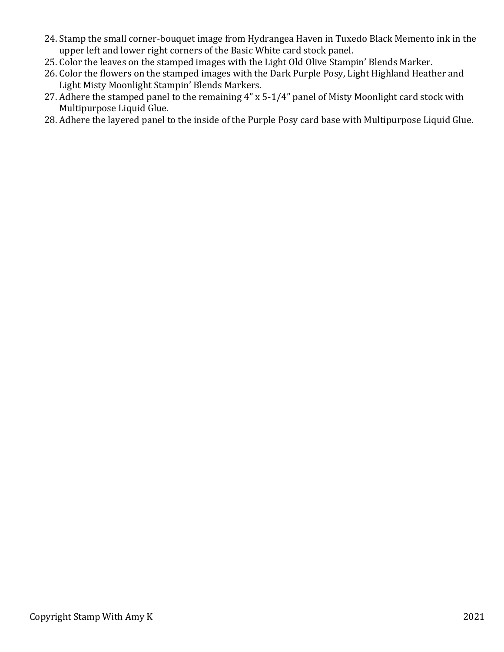- 24. Stamp the small corner-bouquet image from Hydrangea Haven in Tuxedo Black Memento ink in the upper left and lower right corners of the Basic White card stock panel.
- 25. Color the leaves on the stamped images with the Light Old Olive Stampin' Blends Marker.
- 26. Color the flowers on the stamped images with the Dark Purple Posy, Light Highland Heather and Light Misty Moonlight Stampin' Blends Markers.
- 27. Adhere the stamped panel to the remaining  $4$ " x 5-1/4" panel of Misty Moonlight card stock with Multipurpose Liquid Glue.
- 28. Adhere the layered panel to the inside of the Purple Posy card base with Multipurpose Liquid Glue.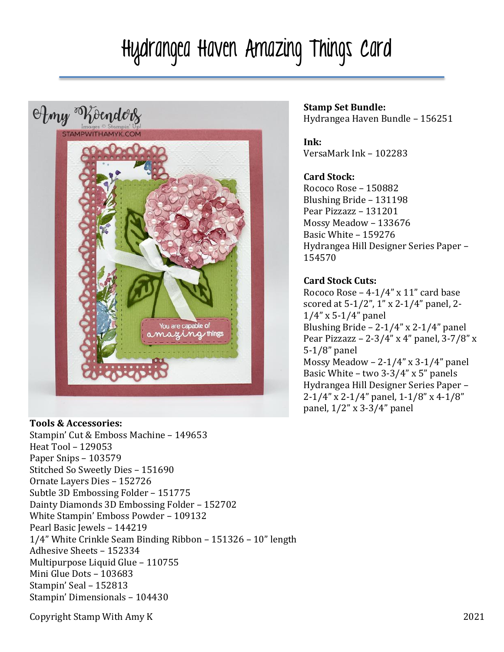# Hydrangea Haven Amazing Things Card



#### **Tools & Accessories:**

Stampin' Cut & Emboss Machine - 149653 Heat Tool - 129053 Paper Snips - 103579 Stitched So Sweetly Dies - 151690 Ornate Layers Dies - 152726 Subtle 3D Embossing Folder - 151775 Dainty Diamonds 3D Embossing Folder - 152702 White Stampin' Emboss Powder - 109132 Pearl Basic Jewels - 144219  $1/4$ " White Crinkle Seam Binding Ribbon – 151326 – 10" length Adhesive Sheets - 152334 Multipurpose Liquid Glue - 110755 Mini Glue Dots - 103683 Stampin' Seal - 152813 Stampin' Dimensionals - 104430

#### **Stamp Set Bundle:** Hydrangea Haven Bundle - 156251

**Ink:** VersaMark Ink - 102283

### **Card Stock:**

Rococo Rose - 150882 Blushing Bride - 131198 Pear Pizzazz - 131201 Mossy Meadow – 133676 Basic White - 159276 Hydrangea Hill Designer Series Paper – 154570

### **Card Stock Cuts:**

Rococo Rose  $-4-1/4$ " x 11" card base scored at 5-1/2", 1" x 2-1/4" panel, 2- $1/4$ " x 5-1/4" panel Blushing Bride  $- 2-1/4$ " x 2-1/4" panel Pear Pizzazz – 2-3/4" x 4" panel, 3-7/8" x  $5-1/8$ " panel Mossy Meadow -  $2-1/4$ " x 3-1/4" panel Basic White – two  $3-3/4$ " x 5" panels Hydrangea Hill Designer Series Paper - $2-1/4$ " x  $2-1/4$ " panel,  $1-1/8$ " x  $4-1/8$ " panel,  $1/2$ " x 3-3/4" panel

Copyright Stamp With Amy K 2021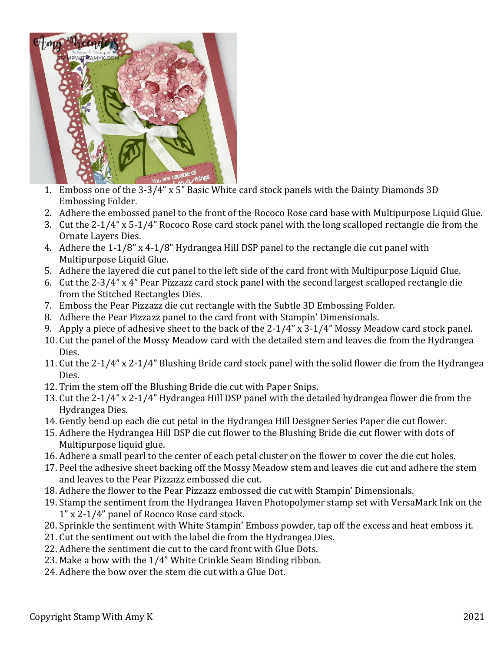

- 1. Emboss one of the 3-3/4" x 5" Basic White card stock panels with the Dainty Diamonds 3D Embossing Folder.
- 2. Adhere the embossed panel to the front of the Rococo Rose card base with Multipurpose Liquid Glue.
- 3. Cut the  $2-1/4$ " x  $5-1/4$ " Rococo Rose card stock panel with the long scalloped rectangle die from the Ornate Layers Dies.
- 4. Adhere the  $1-1/8$ " x 4-1/8" Hydrangea Hill DSP panel to the rectangle die cut panel with Multipurpose Liquid Glue.
- 5. Adhere the layered die cut panel to the left side of the card front with Multipurpose Liquid Glue.
- 6. Cut the 2-3/4" x 4" Pear Pizzazz card stock panel with the second largest scalloped rectangle die from the Stitched Rectangles Dies.
- 7. Emboss the Pear Pizzazz die cut rectangle with the Subtle 3D Embossing Folder.
- 8. Adhere the Pear Pizzazz panel to the card front with Stampin' Dimensionals.
- 9. Apply a piece of adhesive sheet to the back of the  $2-1/4$ " x  $3-1/4$ " Mossy Meadow card stock panel.
- 10. Cut the panel of the Mossy Meadow card with the detailed stem and leaves die from the Hydrangea Dies.
- 11. Cut the 2-1/4" x 2-1/4" Blushing Bride card stock panel with the solid flower die from the Hydrangea Dies.
- 12. Trim the stem off the Blushing Bride die cut with Paper Snips.
- 13. Cut the 2-1/4" x 2-1/4" Hydrangea Hill DSP panel with the detailed hydrangea flower die from the Hydrangea Dies.
- 14. Gently bend up each die cut petal in the Hydrangea Hill Designer Series Paper die cut flower.
- 15. Adhere the Hydrangea Hill DSP die cut flower to the Blushing Bride die cut flower with dots of Multipurpose liquid glue.
- 16. Adhere a small pearl to the center of each petal cluster on the flower to cover the die cut holes.
- 17. Peel the adhesive sheet backing off the Mossy Meadow stem and leaves die cut and adhere the stem and leaves to the Pear Pizzazz embossed die cut.
- 18. Adhere the flower to the Pear Pizzazz embossed die cut with Stampin' Dimensionals.
- 19. Stamp the sentiment from the Hydrangea Haven Photopolymer stamp set with VersaMark Ink on the 1" x 2-1/4" panel of Rococo Rose card stock.
- 20. Sprinkle the sentiment with White Stampin' Emboss powder, tap off the excess and heat emboss it.
- 21. Cut the sentiment out with the label die from the Hydrangea Dies.
- 22. Adhere the sentiment die cut to the card front with Glue Dots.
- 23. Make a bow with the  $1/4$ " White Crinkle Seam Binding ribbon.
- 24. Adhere the bow over the stem die cut with a Glue Dot.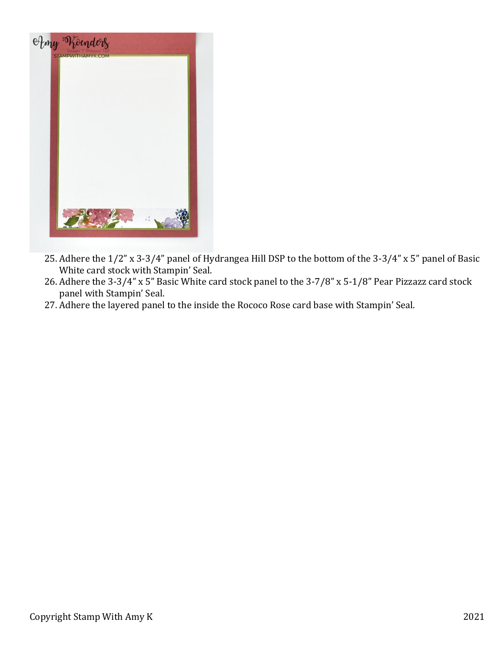

- 25. Adhere the 1/2" x 3-3/4" panel of Hydrangea Hill DSP to the bottom of the 3-3/4" x 5" panel of Basic White card stock with Stampin' Seal.
- 26. Adhere the  $3-3/4$ " x 5" Basic White card stock panel to the  $3-7/8$ " x 5-1/8" Pear Pizzazz card stock panel with Stampin' Seal.
- 27. Adhere the layered panel to the inside the Rococo Rose card base with Stampin' Seal.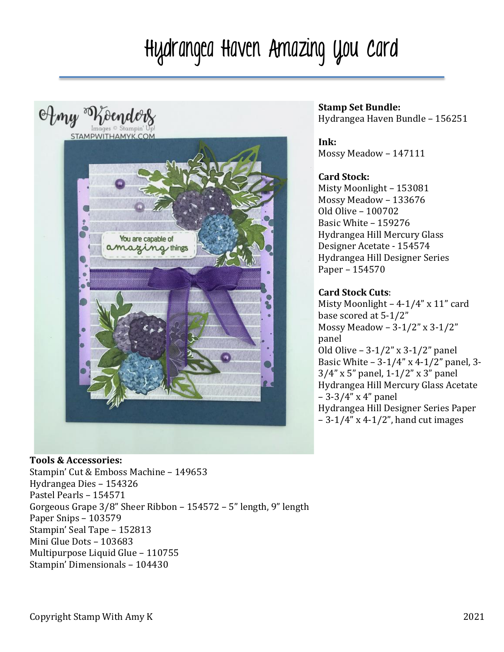# Hydrangea Haven Amazing You Card



### **Stamp Set Bundle:** Hydrangea Haven Bundle - 156251

**Ink:** Mossy Meadow – 147111

### **Card Stock:**

Misty Moonlight - 153081 Mossy Meadow – 133676 Old Olive – 100702 Basic White - 159276 Hydrangea Hill Mercury Glass Designer Acetate - 154574 Hydrangea Hill Designer Series Paper - 154570

## **Card Stock Cuts**:

Misty Moonlight  $-4-1/4$ " x  $11$ " card base scored at 5-1/2" Mossy Meadow -  $3-1/2$ " x  $3-1/2$ " panel Old Olive  $-3-1/2$ " x 3-1/2" panel Basic White  $-3-1/4$ " x 4-1/2" panel, 3- $3/4$ " x 5" panel,  $1-1/2$ " x 3" panel Hydrangea Hill Mercury Glass Acetate  $-3-3/4$ " x 4" panel Hydrangea Hill Designer Series Paper  $-3-1/4$ " x 4-1/2", hand cut images

**Tools & Accessories:** Stampin' Cut & Emboss Machine - 149653 Hydrangea Dies - 154326 Pastel Pearls - 154571 Gorgeous Grape  $3/8$ " Sheer Ribbon –  $154572$  – 5" length, 9" length Paper Snips - 103579 Stampin' Seal Tape - 152813 Mini Glue Dots - 103683 Multipurpose Liquid Glue - 110755 Stampin' Dimensionals - 104430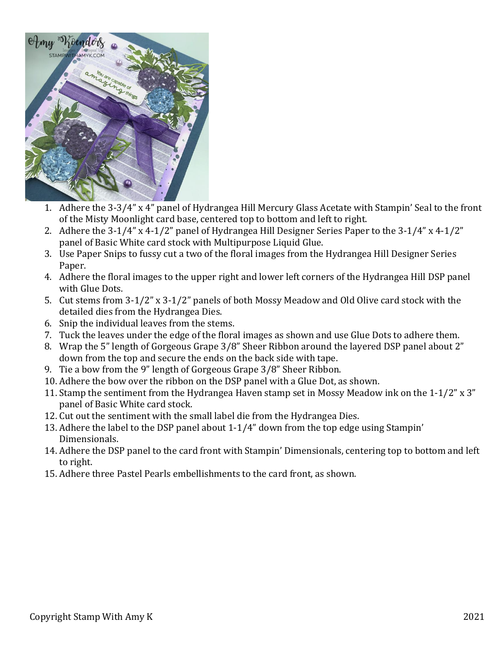

- 1. Adhere the 3-3/4" x 4" panel of Hydrangea Hill Mercury Glass Acetate with Stampin' Seal to the front of the Misty Moonlight card base, centered top to bottom and left to right.
- 2. Adhere the  $3-1/4$ " x  $4-1/2$ " panel of Hydrangea Hill Designer Series Paper to the  $3-1/4$ " x  $4-1/2$ " panel of Basic White card stock with Multipurpose Liquid Glue.
- 3. Use Paper Snips to fussy cut a two of the floral images from the Hydrangea Hill Designer Series Paper.
- 4. Adhere the floral images to the upper right and lower left corners of the Hydrangea Hill DSP panel with Glue Dots.
- 5. Cut stems from 3-1/2" x 3-1/2" panels of both Mossy Meadow and Old Olive card stock with the detailed dies from the Hydrangea Dies.
- 6. Snip the individual leaves from the stems.
- 7. Tuck the leaves under the edge of the floral images as shown and use Glue Dots to adhere them.
- 8. Wrap the 5" length of Gorgeous Grape 3/8" Sheer Ribbon around the layered DSP panel about 2" down from the top and secure the ends on the back side with tape.
- 9. Tie a bow from the 9" length of Gorgeous Grape 3/8" Sheer Ribbon.
- 10. Adhere the bow over the ribbon on the DSP panel with a Glue Dot, as shown.
- 11. Stamp the sentiment from the Hydrangea Haven stamp set in Mossy Meadow ink on the  $1-1/2$ " x 3" panel of Basic White card stock.
- 12. Cut out the sentiment with the small label die from the Hydrangea Dies.
- 13. Adhere the label to the DSP panel about  $1-1/4$ " down from the top edge using Stampin' Dimensionals.
- 14. Adhere the DSP panel to the card front with Stampin' Dimensionals, centering top to bottom and left to right.
- 15. Adhere three Pastel Pearls embellishments to the card front, as shown.